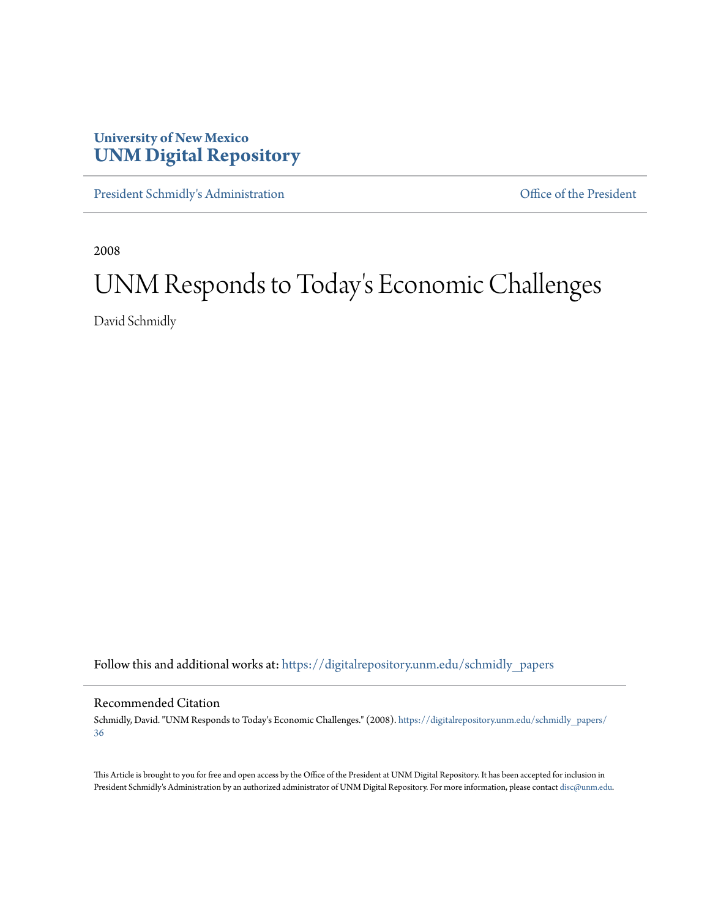## **University of New Mexico [UNM Digital Repository](https://digitalrepository.unm.edu?utm_source=digitalrepository.unm.edu%2Fschmidly_papers%2F36&utm_medium=PDF&utm_campaign=PDFCoverPages)**

[President Schmidly's Administration](https://digitalrepository.unm.edu/schmidly_papers?utm_source=digitalrepository.unm.edu%2Fschmidly_papers%2F36&utm_medium=PDF&utm_campaign=PDFCoverPages) **Communistration** [Office of the President](https://digitalrepository.unm.edu/ofc_president?utm_source=digitalrepository.unm.edu%2Fschmidly_papers%2F36&utm_medium=PDF&utm_campaign=PDFCoverPages)

2008

## UNM Responds to Today 's Economic Challenges

David Schmidly

Follow this and additional works at: [https://digitalrepository.unm.edu/schmidly\\_papers](https://digitalrepository.unm.edu/schmidly_papers?utm_source=digitalrepository.unm.edu%2Fschmidly_papers%2F36&utm_medium=PDF&utm_campaign=PDFCoverPages)

## Recommended Citation

Schmidly, David. "UNM Responds to Today's Economic Challenges." (2008). [https://digitalrepository.unm.edu/schmidly\\_papers/](https://digitalrepository.unm.edu/schmidly_papers/36?utm_source=digitalrepository.unm.edu%2Fschmidly_papers%2F36&utm_medium=PDF&utm_campaign=PDFCoverPages) [36](https://digitalrepository.unm.edu/schmidly_papers/36?utm_source=digitalrepository.unm.edu%2Fschmidly_papers%2F36&utm_medium=PDF&utm_campaign=PDFCoverPages)

This Article is brought to you for free and open access by the Office of the President at UNM Digital Repository. It has been accepted for inclusion in President Schmidly's Administration by an authorized administrator of UNM Digital Repository. For more information, please contact [disc@unm.edu](mailto:disc@unm.edu).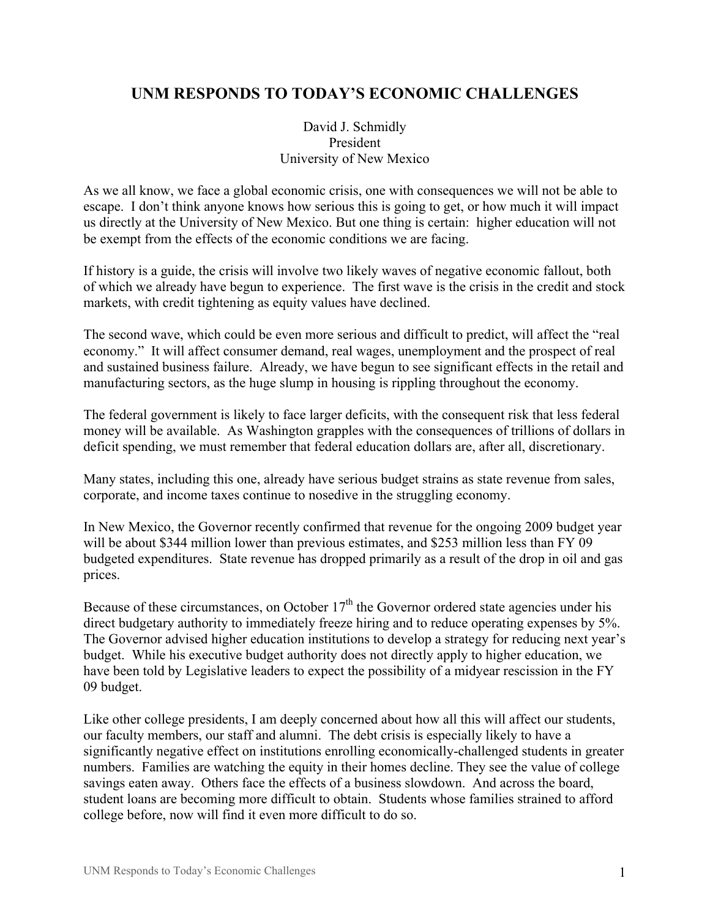## **UNM RESPONDS TO TODAY'S ECONOMIC CHALLENGES**

David J. Schmidly President University of New Mexico

As we all know, we face a global economic crisis, one with consequences we will not be able to escape. I don't think anyone knows how serious this is going to get, or how much it will impact us directly at the University of New Mexico. But one thing is certain: higher education will not be exempt from the effects of the economic conditions we are facing.

If history is a guide, the crisis will involve two likely waves of negative economic fallout, both of which we already have begun to experience. The first wave is the crisis in the credit and stock markets, with credit tightening as equity values have declined.

The second wave, which could be even more serious and difficult to predict, will affect the "real economy." It will affect consumer demand, real wages, unemployment and the prospect of real and sustained business failure. Already, we have begun to see significant effects in the retail and manufacturing sectors, as the huge slump in housing is rippling throughout the economy.

The federal government is likely to face larger deficits, with the consequent risk that less federal money will be available. As Washington grapples with the consequences of trillions of dollars in deficit spending, we must remember that federal education dollars are, after all, discretionary.

Many states, including this one, already have serious budget strains as state revenue from sales, corporate, and income taxes continue to nosedive in the struggling economy.

In New Mexico, the Governor recently confirmed that revenue for the ongoing 2009 budget year will be about \$344 million lower than previous estimates, and \$253 million less than FY 09 budgeted expenditures. State revenue has dropped primarily as a result of the drop in oil and gas prices.

Because of these circumstances, on October  $17<sup>th</sup>$  the Governor ordered state agencies under his direct budgetary authority to immediately freeze hiring and to reduce operating expenses by 5%. The Governor advised higher education institutions to develop a strategy for reducing next year's budget. While his executive budget authority does not directly apply to higher education, we have been told by Legislative leaders to expect the possibility of a midyear rescission in the FY 09 budget.

Like other college presidents, I am deeply concerned about how all this will affect our students, our faculty members, our staff and alumni. The debt crisis is especially likely to have a significantly negative effect on institutions enrolling economically-challenged students in greater numbers. Families are watching the equity in their homes decline. They see the value of college savings eaten away. Others face the effects of a business slowdown. And across the board, student loans are becoming more difficult to obtain. Students whose families strained to afford college before, now will find it even more difficult to do so.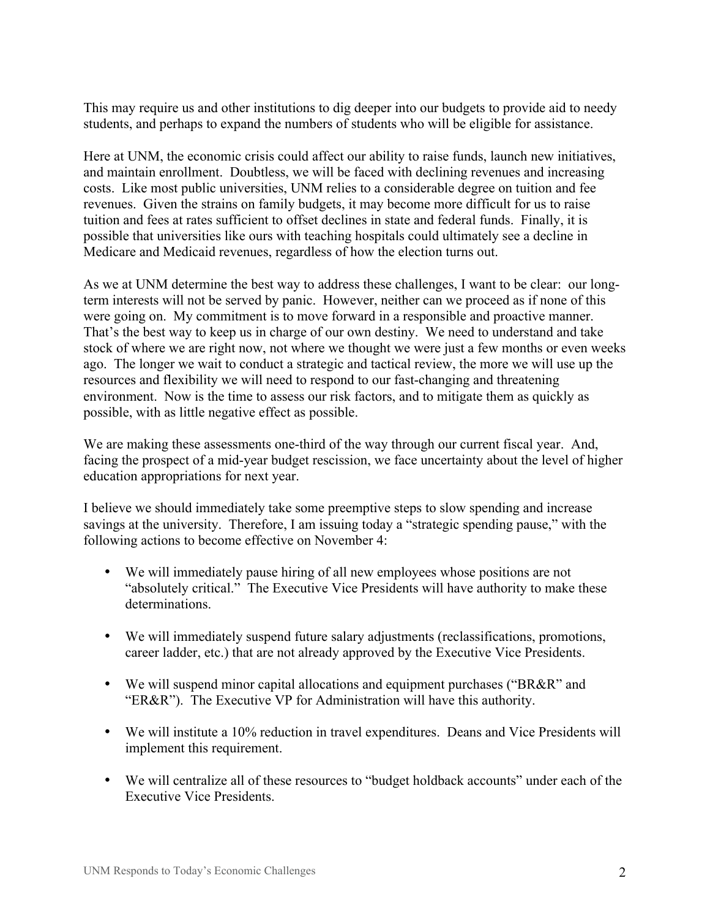This may require us and other institutions to dig deeper into our budgets to provide aid to needy students, and perhaps to expand the numbers of students who will be eligible for assistance.

Here at UNM, the economic crisis could affect our ability to raise funds, launch new initiatives, and maintain enrollment. Doubtless, we will be faced with declining revenues and increasing costs. Like most public universities, UNM relies to a considerable degree on tuition and fee revenues. Given the strains on family budgets, it may become more difficult for us to raise tuition and fees at rates sufficient to offset declines in state and federal funds. Finally, it is possible that universities like ours with teaching hospitals could ultimately see a decline in Medicare and Medicaid revenues, regardless of how the election turns out.

As we at UNM determine the best way to address these challenges, I want to be clear: our longterm interests will not be served by panic. However, neither can we proceed as if none of this were going on. My commitment is to move forward in a responsible and proactive manner. That's the best way to keep us in charge of our own destiny. We need to understand and take stock of where we are right now, not where we thought we were just a few months or even weeks ago. The longer we wait to conduct a strategic and tactical review, the more we will use up the resources and flexibility we will need to respond to our fast-changing and threatening environment. Now is the time to assess our risk factors, and to mitigate them as quickly as possible, with as little negative effect as possible.

We are making these assessments one-third of the way through our current fiscal year. And, facing the prospect of a mid-year budget rescission, we face uncertainty about the level of higher education appropriations for next year.

I believe we should immediately take some preemptive steps to slow spending and increase savings at the university. Therefore, I am issuing today a "strategic spending pause," with the following actions to become effective on November 4:

- We will immediately pause hiring of all new employees whose positions are not "absolutely critical." The Executive Vice Presidents will have authority to make these determinations.
- We will immediately suspend future salary adjustments (reclassifications, promotions, career ladder, etc.) that are not already approved by the Executive Vice Presidents.
- We will suspend minor capital allocations and equipment purchases ("BR&R" and "ER&R"). The Executive VP for Administration will have this authority.
- We will institute a 10% reduction in travel expenditures. Deans and Vice Presidents will implement this requirement.
- We will centralize all of these resources to "budget holdback accounts" under each of the Executive Vice Presidents.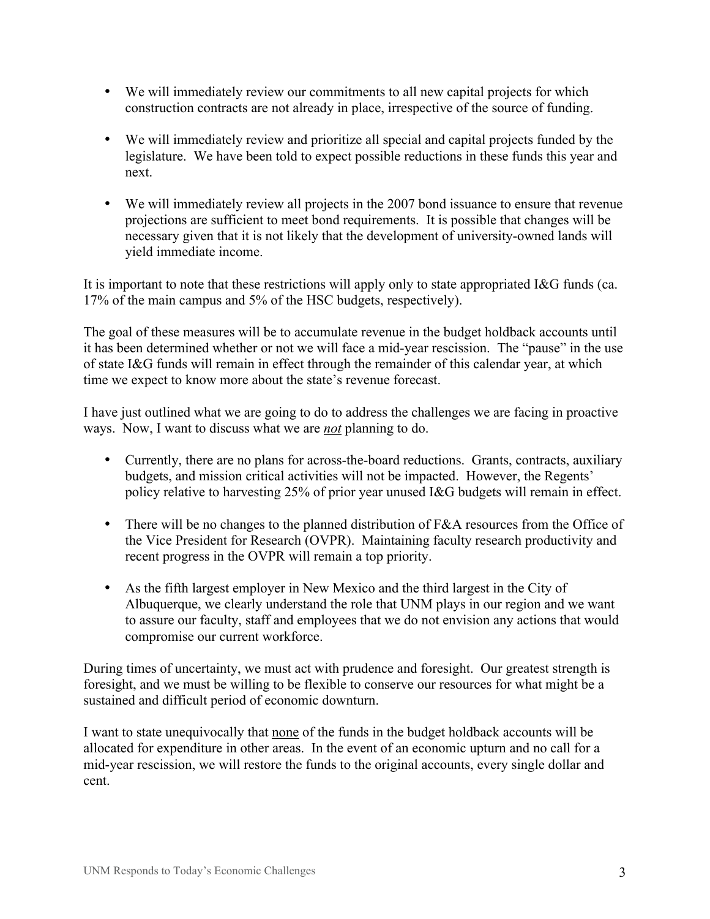- We will immediately review our commitments to all new capital projects for which construction contracts are not already in place, irrespective of the source of funding.
- We will immediately review and prioritize all special and capital projects funded by the legislature. We have been told to expect possible reductions in these funds this year and next.
- We will immediately review all projects in the 2007 bond issuance to ensure that revenue projections are sufficient to meet bond requirements. It is possible that changes will be necessary given that it is not likely that the development of university-owned lands will yield immediate income.

It is important to note that these restrictions will apply only to state appropriated I&G funds (ca. 17% of the main campus and 5% of the HSC budgets, respectively).

The goal of these measures will be to accumulate revenue in the budget holdback accounts until it has been determined whether or not we will face a mid-year rescission. The "pause" in the use of state I&G funds will remain in effect through the remainder of this calendar year, at which time we expect to know more about the state's revenue forecast.

I have just outlined what we are going to do to address the challenges we are facing in proactive ways. Now, I want to discuss what we are *not* planning to do.

- Currently, there are no plans for across-the-board reductions. Grants, contracts, auxiliary budgets, and mission critical activities will not be impacted. However, the Regents' policy relative to harvesting 25% of prior year unused I&G budgets will remain in effect.
- There will be no changes to the planned distribution of F&A resources from the Office of the Vice President for Research (OVPR). Maintaining faculty research productivity and recent progress in the OVPR will remain a top priority.
- As the fifth largest employer in New Mexico and the third largest in the City of Albuquerque, we clearly understand the role that UNM plays in our region and we want to assure our faculty, staff and employees that we do not envision any actions that would compromise our current workforce.

During times of uncertainty, we must act with prudence and foresight. Our greatest strength is foresight, and we must be willing to be flexible to conserve our resources for what might be a sustained and difficult period of economic downturn.

I want to state unequivocally that none of the funds in the budget holdback accounts will be allocated for expenditure in other areas. In the event of an economic upturn and no call for a mid-year rescission, we will restore the funds to the original accounts, every single dollar and cent.